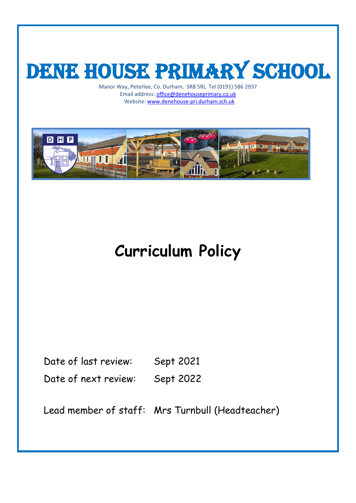# DENE HOUSE PRIMARY SCHOOL

Manor Way, Peterlee, Co. Durham. SR8 5RL. Tel (0191) 586 2937 Email address[: office@denehouseprimary.co.uk](mailto:office@denehouseprimary.co.uk) Website[: www.denehouse-pri.durham.sch.uk](http://www.denehouse-pri.durham.sch.uk/)



## **Curriculum Policy**

Date of last review: Sept 2021 Date of next review: Sept 2022

Lead member of staff: Mrs Turnbull (Headteacher)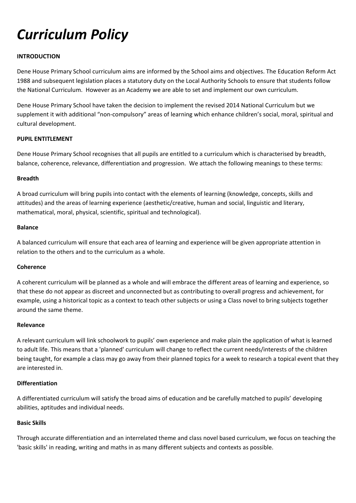### *Curriculum Policy*

#### **INTRODUCTION**

Dene House Primary School curriculum aims are informed by the School aims and objectives. The Education Reform Act 1988 and subsequent legislation places a statutory duty on the Local Authority Schools to ensure that students follow the National Curriculum. However as an Academy we are able to set and implement our own curriculum.

Dene House Primary School have taken the decision to implement the revised 2014 National Curriculum but we supplement it with additional "non-compulsory" areas of learning which enhance children's social, moral, spiritual and cultural development.

#### **PUPIL ENTITLEMENT**

Dene House Primary School recognises that all pupils are entitled to a curriculum which is characterised by breadth, balance, coherence, relevance, differentiation and progression. We attach the following meanings to these terms:

#### **Breadth**

A broad curriculum will bring pupils into contact with the elements of learning (knowledge, concepts, skills and attitudes) and the areas of learning experience (aesthetic/creative, human and social, linguistic and literary, mathematical, moral, physical, scientific, spiritual and technological).

#### **Balance**

A balanced curriculum will ensure that each area of learning and experience will be given appropriate attention in relation to the others and to the curriculum as a whole.

#### **Coherence**

A coherent curriculum will be planned as a whole and will embrace the different areas of learning and experience, so that these do not appear as discreet and unconnected but as contributing to overall progress and achievement, for example, using a historical topic as a context to teach other subjects or using a Class novel to bring subjects together around the same theme.

#### **Relevance**

A relevant curriculum will link schoolwork to pupils' own experience and make plain the application of what is learned to adult life. This means that a 'planned' curriculum will change to reflect the current needs/interests of the children being taught, for example a class may go away from their planned topics for a week to research a topical event that they are interested in.

#### **Differentiation**

A differentiated curriculum will satisfy the broad aims of education and be carefully matched to pupils' developing abilities, aptitudes and individual needs.

#### **Basic Skills**

Through accurate differentiation and an interrelated theme and class novel based curriculum, we focus on teaching the 'basic skills' in reading, writing and maths in as many different subjects and contexts as possible.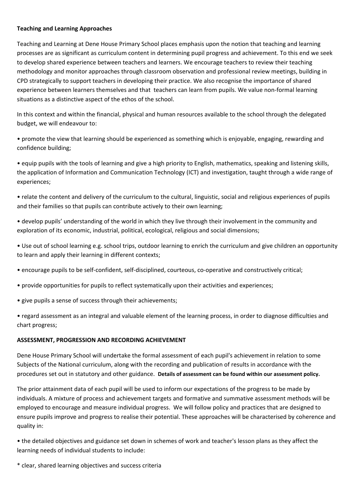#### **Teaching and Learning Approaches**

Teaching and Learning at Dene House Primary School places emphasis upon the notion that teaching and learning processes are as significant as curriculum content in determining pupil progress and achievement. To this end we seek to develop shared experience between teachers and learners. We encourage teachers to review their teaching methodology and monitor approaches through classroom observation and professional review meetings, building in CPD strategically to support teachers in developing their practice. We also recognise the importance of shared experience between learners themselves and that teachers can learn from pupils. We value non-formal learning situations as a distinctive aspect of the ethos of the school.

In this context and within the financial, physical and human resources available to the school through the delegated budget, we will endeavour to:

• promote the view that learning should be experienced as something which is enjoyable, engaging, rewarding and confidence building;

• equip pupils with the tools of learning and give a high priority to English, mathematics, speaking and listening skills, the application of Information and Communication Technology (ICT) and investigation, taught through a wide range of experiences;

• relate the content and delivery of the curriculum to the cultural, linguistic, social and religious experiences of pupils and their families so that pupils can contribute actively to their own learning;

• develop pupils' understanding of the world in which they live through their involvement in the community and exploration of its economic, industrial, political, ecological, religious and social dimensions;

• Use out of school learning e.g. school trips, outdoor learning to enrich the curriculum and give children an opportunity to learn and apply their learning in different contexts;

- encourage pupils to be self-confident, self-disciplined, courteous, co-operative and constructively critical;
- provide opportunities for pupils to reflect systematically upon their activities and experiences;
- give pupils a sense of success through their achievements;

• regard assessment as an integral and valuable element of the learning process, in order to diagnose difficulties and chart progress;

#### **ASSESSMENT, PROGRESSION AND RECORDING ACHIEVEMENT**

Dene House Primary School will undertake the formal assessment of each pupil's achievement in relation to some Subjects of the National curriculum, along with the recording and publication of results in accordance with the procedures set out in statutory and other guidance. **Details of assessment can be found within our assessment policy.**

The prior attainment data of each pupil will be used to inform our expectations of the progress to be made by individuals. A mixture of process and achievement targets and formative and summative assessment methods will be employed to encourage and measure individual progress. We will follow policy and practices that are designed to ensure pupils improve and progress to realise their potential. These approaches will be characterised by coherence and quality in:

• the detailed objectives and guidance set down in schemes of work and teacher's lesson plans as they affect the learning needs of individual students to include:

\* clear, shared learning objectives and success criteria